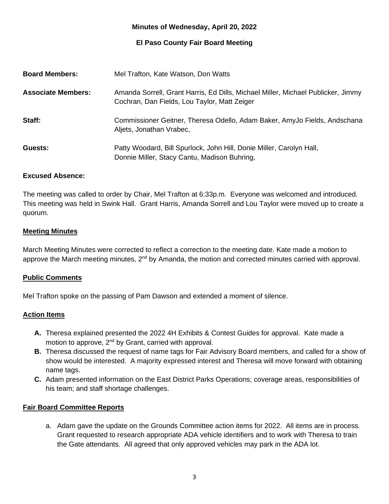### **Minutes of Wednesday, April 20, 2022**

## **El Paso County Fair Board Meeting**

| <b>Board Members:</b>     | Mel Trafton, Kate Watson, Don Watts                                                                                              |
|---------------------------|----------------------------------------------------------------------------------------------------------------------------------|
| <b>Associate Members:</b> | Amanda Sorrell, Grant Harris, Ed Dills, Michael Miller, Michael Publicker, Jimmy<br>Cochran, Dan Fields, Lou Taylor, Matt Zeiger |
| Staff:                    | Commissioner Geitner, Theresa Odello, Adam Baker, AmyJo Fields, Andschana<br>Aljets, Jonathan Vrabec,                            |
| Guests:                   | Patty Woodard, Bill Spurlock, John Hill, Donie Miller, Carolyn Hall,<br>Donnie Miller, Stacy Cantu, Madison Buhring,             |

#### **Excused Absence:**

The meeting was called to order by Chair, Mel Trafton at 6:33p.m. Everyone was welcomed and introduced. This meeting was held in Swink Hall. Grant Harris, Amanda Sorrell and Lou Taylor were moved up to create a quorum.

#### **Meeting Minutes**

March Meeting Minutes were corrected to reflect a correction to the meeting date. Kate made a motion to approve the March meeting minutes, 2<sup>nd</sup> by Amanda, the motion and corrected minutes carried with approval.

#### **Public Comments**

Mel Trafton spoke on the passing of Pam Dawson and extended a moment of silence.

#### **Action Items**

- **A.** Theresa explained presented the 2022 4H Exhibits & Contest Guides for approval. Kate made a motion to approve, 2<sup>nd</sup> by Grant, carried with approval.
- **B.** Theresa discussed the request of name tags for Fair Advisory Board members, and called for a show of show would be interested. A majority expressed interest and Theresa will move forward with obtaining name tags.
- **C.** Adam presented information on the East District Parks Operations; coverage areas, responsibilities of his team; and staff shortage challenges.

#### **Fair Board Committee Reports**

a. Adam gave the update on the Grounds Committee action items for 2022. All items are in process. Grant requested to research appropriate ADA vehicle identifiers and to work with Theresa to train the Gate attendants. All agreed that only approved vehicles may park in the ADA lot.